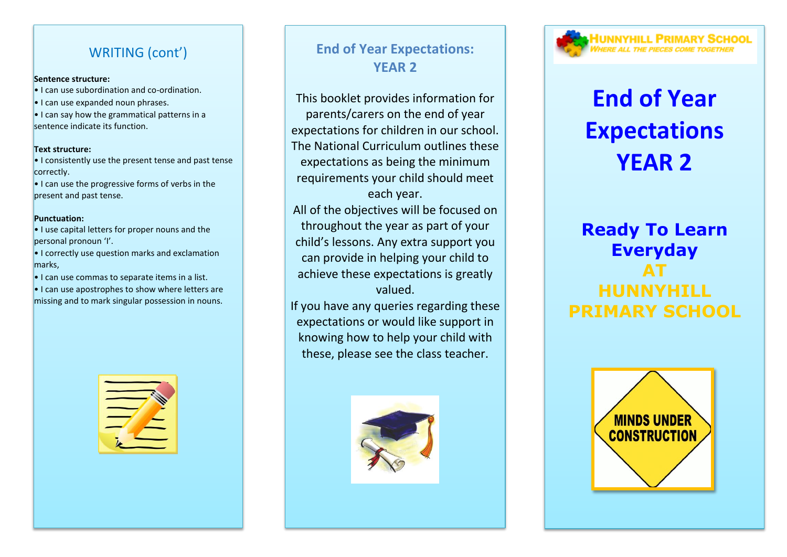## WRITING (cont')

#### **Sentence structure:**

- I can use subordination and co-ordination.
- I can use expanded noun phrases.
- I can say how the grammatical patterns in a sentence indicate its function.

#### **Text structure:**

- I consistently use the present tense and past tense correctly.
- I can use the progressive forms of verbs in the present and past tense.

#### **Punctuation:**

- I use capital letters for proper nouns and the personal pronoun 'I'.
- I correctly use question marks and exclamation marks,
- I can use commas to separate items in a list.
- I can use apostrophes to show where letters are missing and to mark singular possession in nouns.



# **End of Year Expectations: YEAR 2**

This booklet provides information for parents/carers on the end of year expectations for children in our school. The National Curriculum outlines these expectations as being the minimum requirements your child should meet each year.

All of the objectives will be focused on throughout the year as part of your child's lessons. Any extra support you can provide in helping your child to achieve these expectations is greatly valued.

If you have any queries regarding these expectations or would like support in knowing how to help your child with these, please see the class teacher.



# UNNYHILL PRIMARY SCHOOL

# **End of Year Expectations YEAR 2**

# **Ready To Learn Everyday AT HUNNYHILL PRIMARY SCHOOL**